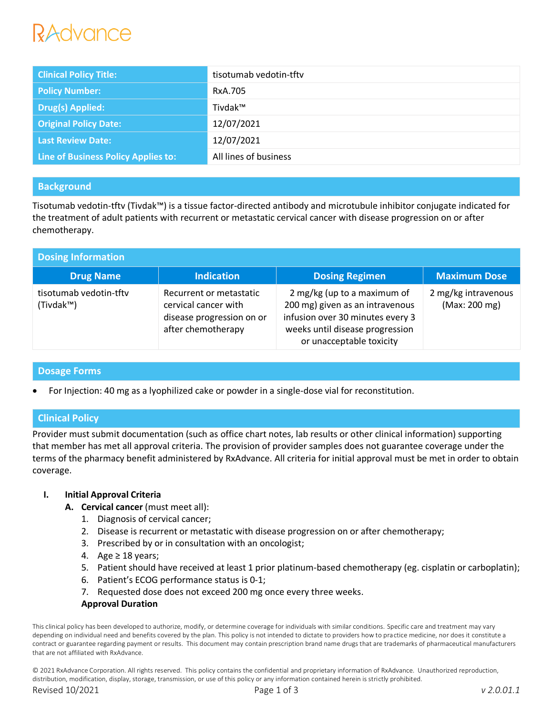# RAdvance

| <b>Clinical Policy Title:</b>       | tisotumab vedotin-tftv |
|-------------------------------------|------------------------|
| <b>Policy Number:</b>               | RxA.705                |
| <b>Drug(s) Applied:</b>             | Tivdak™                |
| <b>Original Policy Date:</b>        | 12/07/2021             |
| <b>Last Review Date:</b>            | 12/07/2021             |
| Line of Business Policy Applies to: | All lines of business  |

# **Background**

Tisotumab vedotin-tftv (Tivdak™) is a tissue factor-directed antibody and microtubule inhibitor conjugate indicated for the treatment of adult patients with recurrent or metastatic cervical cancer with disease progression on or after chemotherapy.

| <b>Dosing Information</b>           |                                                                                                    |                                                                                                                                                                   |                                      |  |  |
|-------------------------------------|----------------------------------------------------------------------------------------------------|-------------------------------------------------------------------------------------------------------------------------------------------------------------------|--------------------------------------|--|--|
| <b>Drug Name</b>                    | <b>Indication</b>                                                                                  | <b>Dosing Regimen</b>                                                                                                                                             | <b>Maximum Dose</b>                  |  |  |
| tisotumab vedotin-tftv<br>(Tivdak™) | Recurrent or metastatic<br>cervical cancer with<br>disease progression on or<br>after chemotherapy | 2 mg/kg (up to a maximum of<br>200 mg) given as an intravenous<br>infusion over 30 minutes every 3<br>weeks until disease progression<br>or unacceptable toxicity | 2 mg/kg intravenous<br>(Max: 200 mg) |  |  |

# **Dosage Forms**

For Injection: 40 mg as a lyophilized cake or powder in a single-dose vial for reconstitution.

# **Clinical Policy**

Provider must submit documentation (such as office chart notes, lab results or other clinical information) supporting that member has met all approval criteria. The provision of provider samples does not guarantee coverage under the terms of the pharmacy benefit administered by RxAdvance. All criteria for initial approval must be met in order to obtain coverage.

# **I. Initial Approval Criteria**

- **A. Cervical cancer** (must meet all):
	- 1. Diagnosis of cervical cancer;
	- 2. Disease is recurrent or metastatic with disease progression on or after chemotherapy;
	- 3. Prescribed by or in consultation with an oncologist;
	- 4. Age  $\geq$  18 years;
	- 5. Patient should have received at least 1 prior platinum-based chemotherapy (eg. cisplatin or carboplatin);
	- 6. Patient's ECOG performance status is 0-1;
	- 7. Requested dose does not exceed 200 mg once every three weeks.

## **Approval Duration**

This clinical policy has been developed to authorize, modify, or determine coverage for individuals with similar conditions. Specific care and treatment may vary depending on individual need and benefits covered by the plan. This policy is not intended to dictate to providers how to practice medicine, nor does it constitute a contract or guarantee regarding payment or results. This document may contain prescription brand name drugs that are trademarks of pharmaceutical manufacturers that are not affiliated with RxAdvance.

© 2021 RxAdvance Corporation. All rights reserved. This policy contains the confidential and proprietary information of RxAdvance. Unauthorized reproduction, distribution, modification, display, storage, transmission, or use of this policy or any information contained herein is strictly prohibited.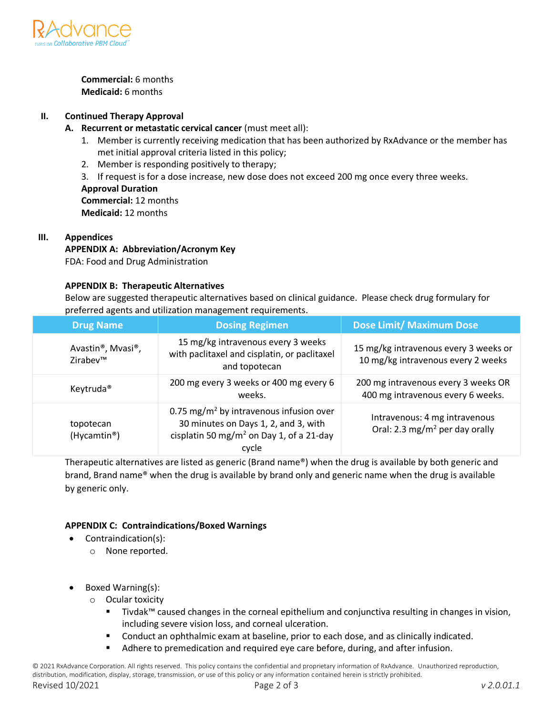

**Commercial:** 6 months **Medicaid:** 6 months

## **II. Continued Therapy Approval**

- **A. Recurrent or metastatic cervical cancer** (must meet all):
	- 1. Member is currently receiving medication that has been authorized by RxAdvance or the member has met initial approval criteria listed in this policy;
	- 2. Member is responding positively to therapy;
	- 3. If request is for a dose increase, new dose does not exceed 200 mg once every three weeks.

**Approval Duration Commercial:** 12 months **Medicaid:** 12 months

## **III. Appendices**

## **APPENDIX A: Abbreviation/Acronym Key**

FDA: Food and Drug Administration

#### **APPENDIX B: Therapeutic Alternatives**

Below are suggested therapeutic alternatives based on clinical guidance. Please check drug formulary for preferred agents and utilization management requirements.

| <b>Drug Name</b>                                        | <b>Dosing Regimen</b>                                                                                                                                        | <b>Dose Limit/ Maximum Dose</b>                                             |
|---------------------------------------------------------|--------------------------------------------------------------------------------------------------------------------------------------------------------------|-----------------------------------------------------------------------------|
| Avastin <sup>®</sup> , Mvasi <sup>®</sup> ,<br>Zirabev™ | 15 mg/kg intravenous every 3 weeks<br>with paclitaxel and cisplatin, or paclitaxel<br>and topotecan                                                          | 15 mg/kg intravenous every 3 weeks or<br>10 mg/kg intravenous every 2 weeks |
| Keytruda <sup>®</sup>                                   | 200 mg every 3 weeks or 400 mg every 6<br>weeks.                                                                                                             | 200 mg intravenous every 3 weeks OR<br>400 mg intravenous every 6 weeks.    |
| topotecan<br>(Hycamtin <sup>®</sup> )                   | 0.75 mg/m <sup>2</sup> by intravenous infusion over<br>30 minutes on Days 1, 2, and 3, with<br>cisplatin 50 mg/m <sup>2</sup> on Day 1, of a 21-day<br>cycle | Intravenous: 4 mg intravenous<br>Oral: 2.3 mg/m <sup>2</sup> per day orally |

Therapeutic alternatives are listed as generic (Brand name®) when the drug is available by both generic and brand, Brand name® when the drug is available by brand only and generic name when the drug is available by generic only.

## **APPENDIX C: Contraindications/Boxed Warnings**

- Contraindication(s):
	- o None reported.
- Boxed Warning(s):
	- o Ocular toxicity
		- Tivdak™ caused changes in the corneal epithelium and conjunctiva resulting in changes in vision, including severe vision loss, and corneal ulceration.
		- Conduct an ophthalmic exam at baseline, prior to each dose, and as clinically indicated.
		- Adhere to premedication and required eye care before, during, and after infusion.

© 2021 RxAdvance Corporation. All rights reserved. This policy contains the confidential and proprietary information of RxAdvance. Unauthorized reproduction, distribution, modification, display, storage, transmission, or use of this policy or any information contained herein is strictly prohibited. Revised 10/2021 Page 2 of 3 *v 2.0.01.1*